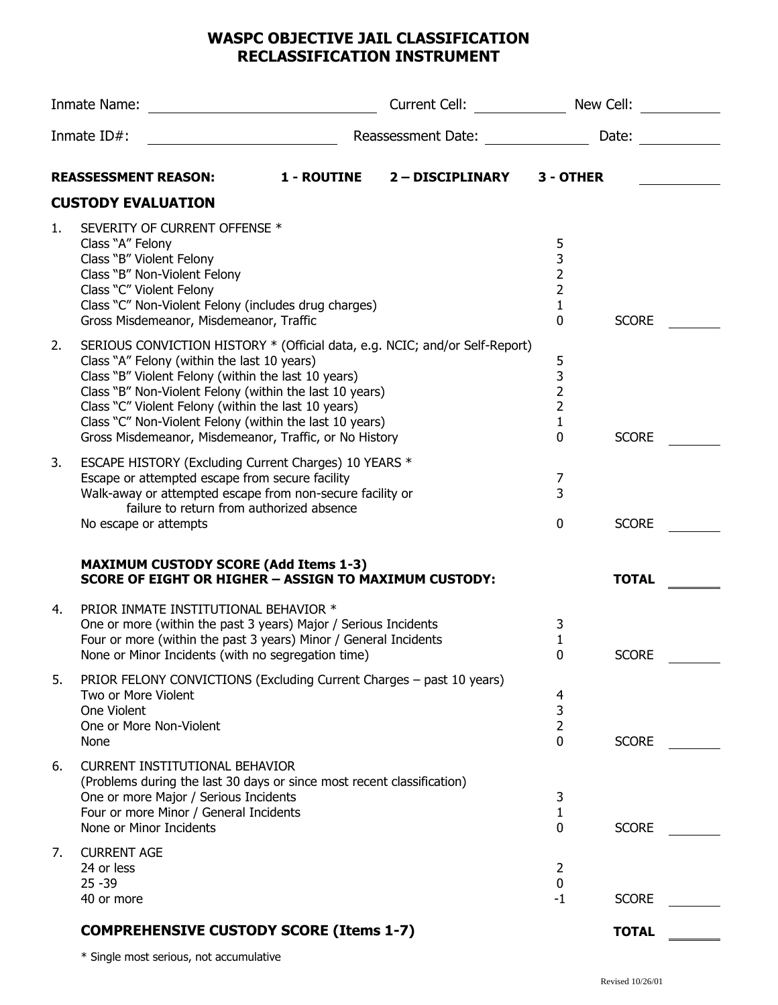## **WASPC OBJECTIVE JAIL CLASSIFICATION RECLASSIFICATION INSTRUMENT**

| Inmate Name: |                                                                                                                                                                                                                                                                                                                                                                                                                          | Current Cell: <b>Example 2014</b> | New Cell:        |                                                                 |              |
|--------------|--------------------------------------------------------------------------------------------------------------------------------------------------------------------------------------------------------------------------------------------------------------------------------------------------------------------------------------------------------------------------------------------------------------------------|-----------------------------------|------------------|-----------------------------------------------------------------|--------------|
| Inmate ID#:  |                                                                                                                                                                                                                                                                                                                                                                                                                          | Reassessment Date:                |                  | Date:                                                           |              |
|              | <b>REASSESSMENT REASON:</b>                                                                                                                                                                                                                                                                                                                                                                                              | 1 - ROUTINE                       | 2 - DISCIPLINARY | 3 - OTHER                                                       |              |
|              | <b>CUSTODY EVALUATION</b>                                                                                                                                                                                                                                                                                                                                                                                                |                                   |                  |                                                                 |              |
| 1.           | SEVERITY OF CURRENT OFFENSE *<br>Class "A" Felony<br>Class "B" Violent Felony<br>Class "B" Non-Violent Felony<br>Class "C" Violent Felony<br>Class "C" Non-Violent Felony (includes drug charges)<br>Gross Misdemeanor, Misdemeanor, Traffic                                                                                                                                                                             |                                   |                  | 5<br>3<br>$\overline{2}$<br>$\overline{2}$<br>$\mathbf{1}$<br>0 | <b>SCORE</b> |
| 2.           | SERIOUS CONVICTION HISTORY * (Official data, e.g. NCIC; and/or Self-Report)<br>Class "A" Felony (within the last 10 years)<br>Class "B" Violent Felony (within the last 10 years)<br>Class "B" Non-Violent Felony (within the last 10 years)<br>Class "C" Violent Felony (within the last 10 years)<br>Class "C" Non-Violent Felony (within the last 10 years)<br>Gross Misdemeanor, Misdemeanor, Traffic, or No History |                                   |                  | 5<br>$\frac{3}{2}$<br>$\overline{2}$<br>1<br>$\Omega$           | <b>SCORE</b> |
| 3.           | ESCAPE HISTORY (Excluding Current Charges) 10 YEARS *<br>Escape or attempted escape from secure facility<br>Walk-away or attempted escape from non-secure facility or<br>failure to return from authorized absence<br>No escape or attempts                                                                                                                                                                              |                                   |                  | $\overline{7}$<br>3<br>$\mathbf 0$                              | <b>SCORE</b> |
|              | <b>MAXIMUM CUSTODY SCORE (Add Items 1-3)</b><br><b>SCORE OF EIGHT OR HIGHER - ASSIGN TO MAXIMUM CUSTODY:</b>                                                                                                                                                                                                                                                                                                             |                                   |                  |                                                                 | <b>TOTAL</b> |
| 4.           | PRIOR INMATE INSTITUTIONAL BEHAVIOR *<br>One or more (within the past 3 years) Major / Serious Incidents<br>Four or more (within the past 3 years) Minor / General Incidents<br>None or Minor Incidents (with no segregation time)                                                                                                                                                                                       |                                   |                  | 3<br>1<br>0                                                     | <b>SCORE</b> |
| 5.           | PRIOR FELONY CONVICTIONS (Excluding Current Charges - past 10 years)<br>Two or More Violent<br>One Violent<br>One or More Non-Violent<br>None                                                                                                                                                                                                                                                                            |                                   |                  | 4<br>3<br>$\overline{2}$<br>0                                   | <b>SCORE</b> |
| 6.           | <b>CURRENT INSTITUTIONAL BEHAVIOR</b><br>(Problems during the last 30 days or since most recent classification)<br>One or more Major / Serious Incidents<br>Four or more Minor / General Incidents<br>None or Minor Incidents                                                                                                                                                                                            |                                   |                  | 3<br>1<br>0                                                     | <b>SCORE</b> |
| 7.           | <b>CURRENT AGE</b><br>24 or less<br>$25 - 39$<br>40 or more                                                                                                                                                                                                                                                                                                                                                              |                                   |                  | 2<br>0<br>$-1$                                                  | <b>SCORE</b> |
|              | <b>COMPREHENSIVE CUSTODY SCORE (Items 1-7)</b>                                                                                                                                                                                                                                                                                                                                                                           |                                   |                  |                                                                 | <b>TOTAL</b> |

\* Single most serious, not accumulative